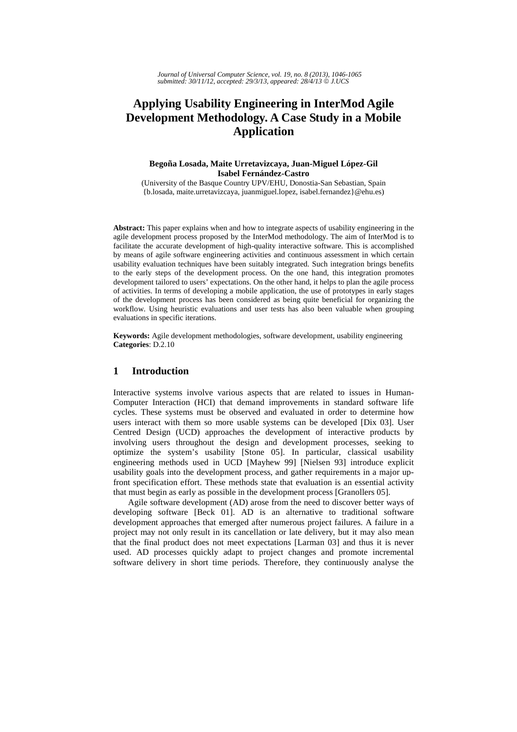*Journal of Universal Computer Science, vol. 19, no. 8 (2013), 1046-1065 submitted: 30/11/12, accepted: 29/3/13, appeared: 28/4/13* © *J.UCS*

# **Applying Usability Engineering in InterMod Agile Development Methodology. A Case Study in a Mobile Application**

## **Begoña Losada, Maite Urretavizcaya, Juan-Miguel López-Gil Isabel Fernández-Castro**

(University of the Basque Country UPV/EHU, Donostia-San Sebastian, Spain {b.losada, maite.urretavizcaya, juanmiguel.lopez, isabel.fernandez}@ehu.es)

**Abstract:** This paper explains when and how to integrate aspects of usability engineering in the agile development process proposed by the InterMod methodology. The aim of InterMod is to facilitate the accurate development of high-quality interactive software. This is accomplished by means of agile software engineering activities and continuous assessment in which certain usability evaluation techniques have been suitably integrated. Such integration brings benefits to the early steps of the development process. On the one hand, this integration promotes development tailored to users' expectations. On the other hand, it helps to plan the agile process of activities. In terms of developing a mobile application, the use of prototypes in early stages of the development process has been considered as being quite beneficial for organizing the workflow. Using heuristic evaluations and user tests has also been valuable when grouping evaluations in specific iterations.

**Keywords:** Agile development methodologies, software development, usability engineering **Categories**: D.2.10

## **1 Introduction**

Interactive systems involve various aspects that are related to issues in Human-Computer Interaction (HCI) that demand improvements in standard software life cycles. These systems must be observed and evaluated in order to determine how users interact with them so more usable systems can be developed [Dix 03]. User Centred Design (UCD) approaches the development of interactive products by involving users throughout the design and development processes, seeking to optimize the system's usability [Stone 05]. In particular, classical usability engineering methods used in UCD [Mayhew 99] [Nielsen 93] introduce explicit usability goals into the development process, and gather requirements in a major upfront specification effort. These methods state that evaluation is an essential activity that must begin as early as possible in the development process [Granollers 05].

Agile software development (AD) arose from the need to discover better ways of developing software [Beck 01]. AD is an alternative to traditional software development approaches that emerged after numerous project failures. A failure in a project may not only result in its cancellation or late delivery, but it may also mean that the final product does not meet expectations [Larman 03] and thus it is never used. AD processes quickly adapt to project changes and promote incremental software delivery in short time periods. Therefore, they continuously analyse the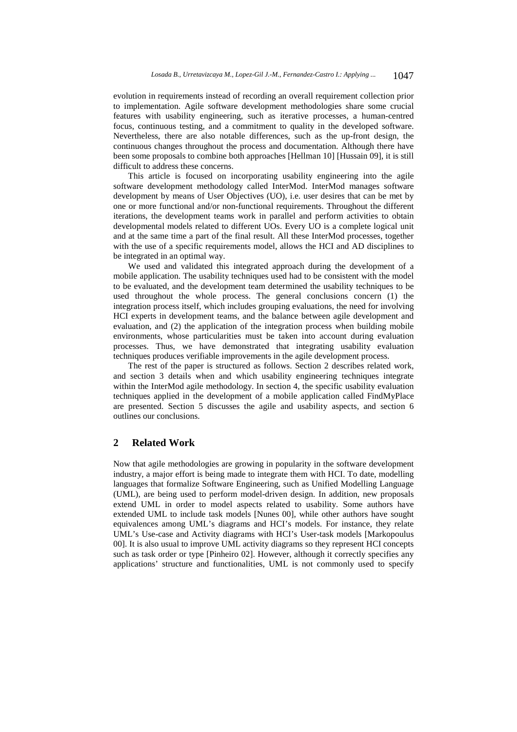evolution in requirements instead of recording an overall requirement collection prior to implementation. Agile software development methodologies share some crucial features with usability engineering, such as iterative processes, a human-centred focus, continuous testing, and a commitment to quality in the developed software. Nevertheless, there are also notable differences, such as the up-front design, the continuous changes throughout the process and documentation. Although there have been some proposals to combine both approaches [Hellman 10] [Hussain 09], it is still difficult to address these concerns.

This article is focused on incorporating usability engineering into the agile software development methodology called InterMod. InterMod manages software development by means of User Objectives (UO), i.e. user desires that can be met by one or more functional and/or non-functional requirements. Throughout the different iterations, the development teams work in parallel and perform activities to obtain developmental models related to different UOs. Every UO is a complete logical unit and at the same time a part of the final result. All these InterMod processes, together with the use of a specific requirements model, allows the HCI and AD disciplines to be integrated in an optimal way.

We used and validated this integrated approach during the development of a mobile application. The usability techniques used had to be consistent with the model to be evaluated, and the development team determined the usability techniques to be used throughout the whole process. The general conclusions concern (1) the integration process itself, which includes grouping evaluations, the need for involving HCI experts in development teams, and the balance between agile development and evaluation, and (2) the application of the integration process when building mobile environments, whose particularities must be taken into account during evaluation processes. Thus, we have demonstrated that integrating usability evaluation techniques produces verifiable improvements in the agile development process.

The rest of the paper is structured as follows. Section 2 describes related work, and section 3 details when and which usability engineering techniques integrate within the InterMod agile methodology. In section 4, the specific usability evaluation techniques applied in the development of a mobile application called FindMyPlace are presented. Section 5 discusses the agile and usability aspects, and section 6 outlines our conclusions.

# **2 Related Work**

Now that agile methodologies are growing in popularity in the software development industry, a major effort is being made to integrate them with HCI. To date, modelling languages that formalize Software Engineering, such as Unified Modelling Language (UML), are being used to perform model-driven design. In addition, new proposals extend UML in order to model aspects related to usability. Some authors have extended UML to include task models [Nunes 00], while other authors have sought equivalences among UML's diagrams and HCI's models. For instance, they relate UML's Use-case and Activity diagrams with HCI's User-task models [Markopoulus 00]. It is also usual to improve UML activity diagrams so they represent HCI concepts such as task order or type [Pinheiro 02]. However, although it correctly specifies any applications' structure and functionalities, UML is not commonly used to specify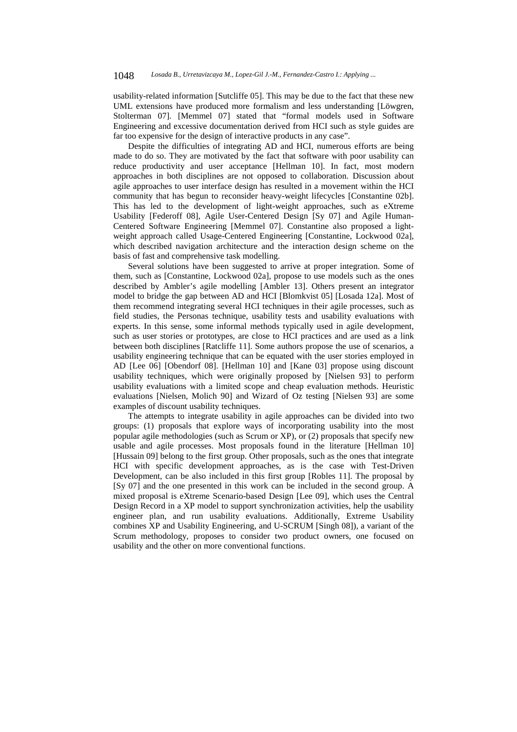usability-related information [Sutcliffe 05]. This may be due to the fact that these new UML extensions have produced more formalism and less understanding [Löwgren, Stolterman 07]. [Memmel 07] stated that "formal models used in Software Engineering and excessive documentation derived from HCI such as style guides are far too expensive for the design of interactive products in any case".

Despite the difficulties of integrating AD and HCI, numerous efforts are being made to do so. They are motivated by the fact that software with poor usability can reduce productivity and user acceptance [Hellman 10]. In fact, most modern approaches in both disciplines are not opposed to collaboration. Discussion about agile approaches to user interface design has resulted in a movement within the HCI community that has begun to reconsider heavy-weight lifecycles [Constantine 02b]. This has led to the development of light-weight approaches, such as eXtreme Usability [Federoff 08], Agile User-Centered Design [Sy 07] and Agile Human-Centered Software Engineering [Memmel 07]. Constantine also proposed a lightweight approach called Usage-Centered Engineering [Constantine, Lockwood 02a], which described navigation architecture and the interaction design scheme on the basis of fast and comprehensive task modelling.

Several solutions have been suggested to arrive at proper integration. Some of them, such as [Constantine, Lockwood 02a], propose to use models such as the ones described by Ambler's agile modelling [Ambler 13]. Others present an integrator model to bridge the gap between AD and HCI [Blomkvist 05] [Losada 12a]. Most of them recommend integrating several HCI techniques in their agile processes, such as field studies, the Personas technique, usability tests and usability evaluations with experts. In this sense, some informal methods typically used in agile development, such as user stories or prototypes, are close to HCI practices and are used as a link between both disciplines [Ratcliffe 11]. Some authors propose the use of scenarios, a usability engineering technique that can be equated with the user stories employed in AD [Lee 06] [Obendorf 08]. [Hellman 10] and [Kane 03] propose using discount usability techniques, which were originally proposed by [Nielsen 93] to perform usability evaluations with a limited scope and cheap evaluation methods. Heuristic evaluations [Nielsen, Molich 90] and Wizard of Oz testing [Nielsen 93] are some examples of discount usability techniques.

The attempts to integrate usability in agile approaches can be divided into two groups: (1) proposals that explore ways of incorporating usability into the most popular agile methodologies (such as Scrum or XP), or (2) proposals that specify new usable and agile processes. Most proposals found in the literature [Hellman 10] [Hussain 09] belong to the first group. Other proposals, such as the ones that integrate HCI with specific development approaches, as is the case with Test-Driven Development, can be also included in this first group [Robles 11]. The proposal by [Sy 07] and the one presented in this work can be included in the second group. A mixed proposal is eXtreme Scenario-based Design [Lee 09], which uses the Central Design Record in a XP model to support synchronization activities, help the usability engineer plan, and run usability evaluations. Additionally, Extreme Usability combines XP and Usability Engineering, and U-SCRUM [Singh 08]), a variant of the Scrum methodology, proposes to consider two product owners, one focused on usability and the other on more conventional functions.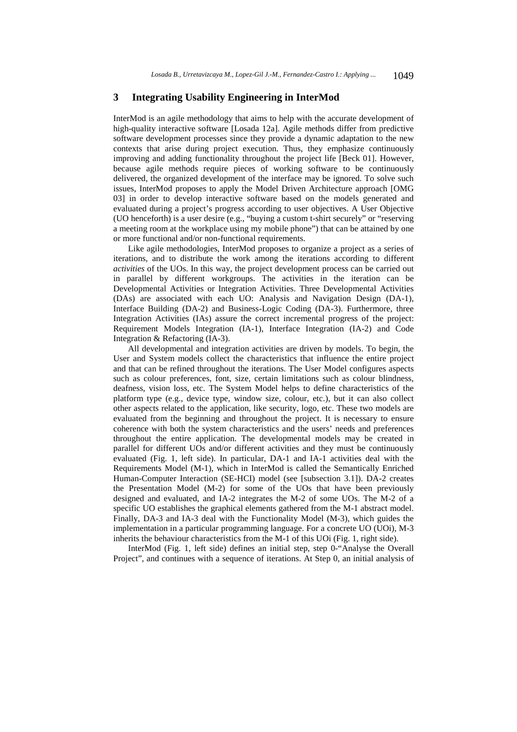## **3 Integrating Usability Engineering in InterMod**

InterMod is an agile methodology that aims to help with the accurate development of high-quality interactive software [Losada 12a]. Agile methods differ from predictive software development processes since they provide a dynamic adaptation to the new contexts that arise during project execution. Thus, they emphasize continuously improving and adding functionality throughout the project life [Beck 01]. However, because agile methods require pieces of working software to be continuously delivered, the organized development of the interface may be ignored. To solve such issues, InterMod proposes to apply the Model Driven Architecture approach [OMG 03] in order to develop interactive software based on the models generated and evaluated during a project's progress according to user objectives. A User Objective (UO henceforth) is a user desire (e.g., "buying a custom t-shirt securely" or "reserving a meeting room at the workplace using my mobile phone") that can be attained by one or more functional and/or non-functional requirements.

Like agile methodologies, InterMod proposes to organize a project as a series of iterations, and to distribute the work among the iterations according to different *activities* of the UOs. In this way, the project development process can be carried out in parallel by different workgroups. The activities in the iteration can be Developmental Activities or Integration Activities. Three Developmental Activities (DAs) are associated with each UO: Analysis and Navigation Design (DA-1), Interface Building (DA-2) and Business-Logic Coding (DA-3). Furthermore, three Integration Activities (IAs) assure the correct incremental progress of the project: Requirement Models Integration (IA-1), Interface Integration (IA-2) and Code Integration & Refactoring (IA-3).

All developmental and integration activities are driven by models. To begin, the User and System models collect the characteristics that influence the entire project and that can be refined throughout the iterations. The User Model configures aspects such as colour preferences, font, size, certain limitations such as colour blindness, deafness, vision loss, etc. The System Model helps to define characteristics of the platform type (e.g., device type, window size, colour, etc.), but it can also collect other aspects related to the application, like security, logo, etc. These two models are evaluated from the beginning and throughout the project. It is necessary to ensure coherence with both the system characteristics and the users' needs and preferences throughout the entire application. The developmental models may be created in parallel for different UOs and/or different activities and they must be continuously evaluated (Fig. 1, left side). In particular, DA-1 and IA-1 activities deal with the Requirements Model (M-1), which in InterMod is called the Semantically Enriched Human-Computer Interaction (SE-HCI) model (see [subsection 3.1]). DA-2 creates the Presentation Model (M-2) for some of the UOs that have been previously designed and evaluated, and IA-2 integrates the M-2 of some UOs. The M-2 of a specific UO establishes the graphical elements gathered from the M-1 abstract model. Finally, DA-3 and IA-3 deal with the Functionality Model (M-3), which guides the implementation in a particular programming language. For a concrete UO (UOi), M-3 inherits the behaviour characteristics from the M-1 of this UOi (Fig. 1, right side).

InterMod (Fig. 1, left side) defines an initial step, step 0-"Analyse the Overall Project", and continues with a sequence of iterations. At Step 0, an initial analysis of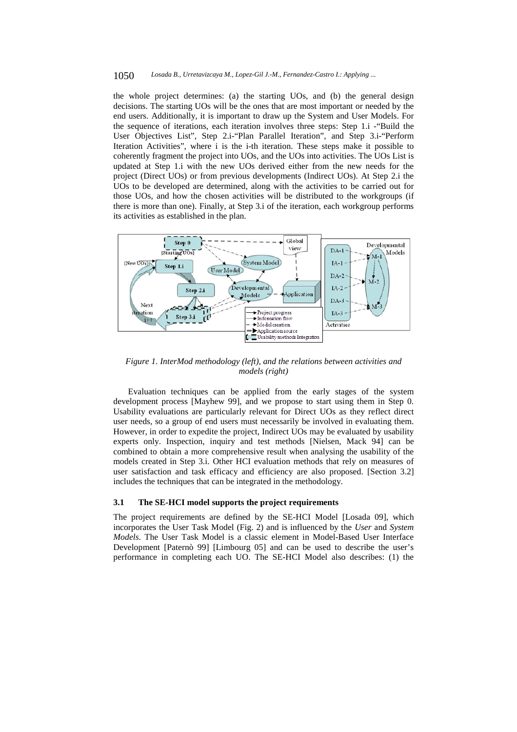#### 1050 *Losada B., Urretavizcaya M., Lopez-Gil J.-M., Fernandez-Castro I.: Applying ...*

the whole project determines: (a) the starting UOs, and (b) the general design decisions. The starting UOs will be the ones that are most important or needed by the end users. Additionally, it is important to draw up the System and User Models. For the sequence of iterations, each iteration involves three steps: Step 1.i -"Build the User Objectives List", Step 2.i-"Plan Parallel Iteration", and Step 3.i-"Perform Iteration Activities", where i is the i-th iteration. These steps make it possible to coherently fragment the project into UOs, and the UOs into activities. The UOs List is updated at Step 1.i with the new UOs derived either from the new needs for the project (Direct UOs) or from previous developments (Indirect UOs). At Step 2.i the UOs to be developed are determined, along with the activities to be carried out for those UOs, and how the chosen activities will be distributed to the workgroups (if there is more than one). Finally, at Step 3.i of the iteration, each workgroup performs its activities as established in the plan.



*Figure 1. InterMod methodology (left), and the relations between activities and models (right)* 

Evaluation techniques can be applied from the early stages of the system development process [Mayhew 99], and we propose to start using them in Step 0. Usability evaluations are particularly relevant for Direct UOs as they reflect direct user needs, so a group of end users must necessarily be involved in evaluating them. However, in order to expedite the project, Indirect UOs may be evaluated by usability experts only. Inspection, inquiry and test methods [Nielsen, Mack 94] can be combined to obtain a more comprehensive result when analysing the usability of the models created in Step 3.i. Other HCI evaluation methods that rely on measures of user satisfaction and task efficacy and efficiency are also proposed. [Section 3.2] includes the techniques that can be integrated in the methodology.

#### **3.1 The SE-HCI model supports the project requirements**

The project requirements are defined by the SE-HCI Model [Losada 09], which incorporates the User Task Model (Fig. 2) and is influenced by the *User* and *System Models*. The User Task Model is a classic element in Model-Based User Interface Development [Paternò 99] [Limbourg 05] and can be used to describe the user's performance in completing each UO. The SE-HCI Model also describes: (1) the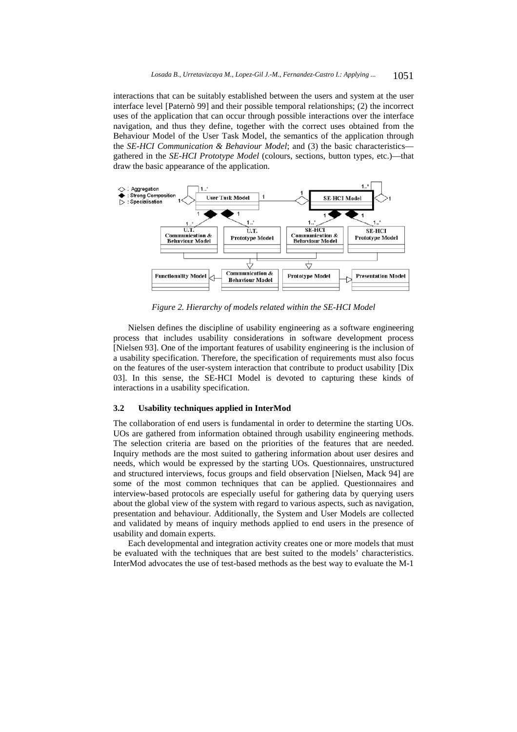interactions that can be suitably established between the users and system at the user interface level [Paternò 99] and their possible temporal relationships; (2) the incorrect uses of the application that can occur through possible interactions over the interface navigation, and thus they define, together with the correct uses obtained from the Behaviour Model of the User Task Model, the semantics of the application through the *SE-HCI Communication & Behaviour Model*; and (3) the basic characteristics gathered in the *SE-HCI Prototype Model* (colours, sections, button types, etc.)—that draw the basic appearance of the application.



*Figure 2. Hierarchy of models related within the SE-HCI Model* 

Nielsen defines the discipline of usability engineering as a software engineering process that includes usability considerations in software development process [Nielsen 93]. One of the important features of usability engineering is the inclusion of a usability specification. Therefore, the specification of requirements must also focus on the features of the user-system interaction that contribute to product usability [Dix 03]. In this sense, the SE-HCI Model is devoted to capturing these kinds of interactions in a usability specification.

#### **3.2 Usability techniques applied in InterMod**

The collaboration of end users is fundamental in order to determine the starting UOs. UOs are gathered from information obtained through usability engineering methods. The selection criteria are based on the priorities of the features that are needed. Inquiry methods are the most suited to gathering information about user desires and needs, which would be expressed by the starting UOs. Questionnaires, unstructured and structured interviews, focus groups and field observation [Nielsen, Mack 94] are some of the most common techniques that can be applied. Questionnaires and interview-based protocols are especially useful for gathering data by querying users about the global view of the system with regard to various aspects, such as navigation, presentation and behaviour. Additionally, the System and User Models are collected and validated by means of inquiry methods applied to end users in the presence of usability and domain experts.

Each developmental and integration activity creates one or more models that must be evaluated with the techniques that are best suited to the models' characteristics. InterMod advocates the use of test-based methods as the best way to evaluate the M-1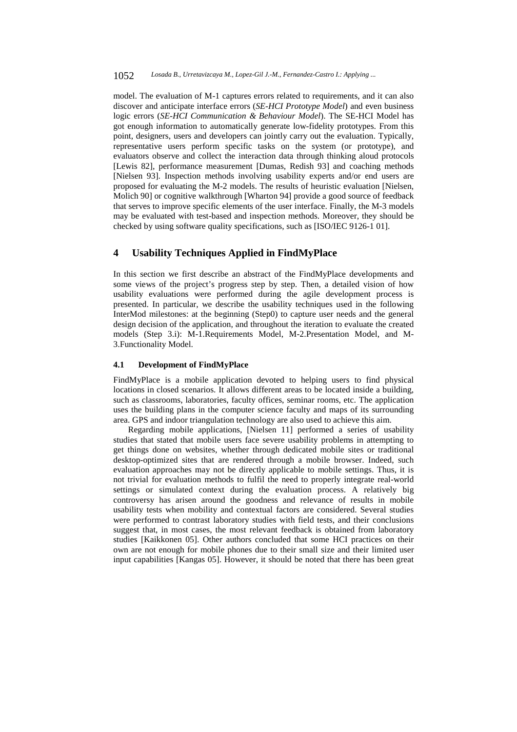model. The evaluation of M-1 captures errors related to requirements, and it can also discover and anticipate interface errors (*SE-HCI Prototype Model*) and even business logic errors (*SE-HCI Communication & Behaviour Model*). The SE-HCI Model has got enough information to automatically generate low-fidelity prototypes. From this point, designers, users and developers can jointly carry out the evaluation. Typically, representative users perform specific tasks on the system (or prototype), and evaluators observe and collect the interaction data through thinking aloud protocols [Lewis 82], performance measurement [Dumas, Redish 93] and coaching methods [Nielsen 93]. Inspection methods involving usability experts and/or end users are proposed for evaluating the M-2 models. The results of heuristic evaluation [Nielsen, Molich 90] or cognitive walkthrough [Wharton 94] provide a good source of feedback that serves to improve specific elements of the user interface. Finally, the M-3 models may be evaluated with test-based and inspection methods. Moreover, they should be checked by using software quality specifications, such as [ISO/IEC 9126-1 01].

# **4 Usability Techniques Applied in FindMyPlace**

In this section we first describe an abstract of the FindMyPlace developments and some views of the project's progress step by step. Then, a detailed vision of how usability evaluations were performed during the agile development process is presented. In particular, we describe the usability techniques used in the following InterMod milestones: at the beginning (Step0) to capture user needs and the general design decision of the application, and throughout the iteration to evaluate the created models (Step 3.i): M-1.Requirements Model, M-2.Presentation Model, and M-3.Functionality Model.

#### **4.1 Development of FindMyPlace**

FindMyPlace is a mobile application devoted to helping users to find physical locations in closed scenarios. It allows different areas to be located inside a building, such as classrooms, laboratories, faculty offices, seminar rooms, etc. The application uses the building plans in the computer science faculty and maps of its surrounding area. GPS and indoor triangulation technology are also used to achieve this aim.

Regarding mobile applications, [Nielsen 11] performed a series of usability studies that stated that mobile users face severe usability problems in attempting to get things done on websites, whether through dedicated mobile sites or traditional desktop-optimized sites that are rendered through a mobile browser. Indeed, such evaluation approaches may not be directly applicable to mobile settings. Thus, it is not trivial for evaluation methods to fulfil the need to properly integrate real-world settings or simulated context during the evaluation process. A relatively big controversy has arisen around the goodness and relevance of results in mobile usability tests when mobility and contextual factors are considered. Several studies were performed to contrast laboratory studies with field tests, and their conclusions suggest that, in most cases, the most relevant feedback is obtained from laboratory studies [Kaikkonen 05]. Other authors concluded that some HCI practices on their own are not enough for mobile phones due to their small size and their limited user input capabilities [Kangas 05]. However, it should be noted that there has been great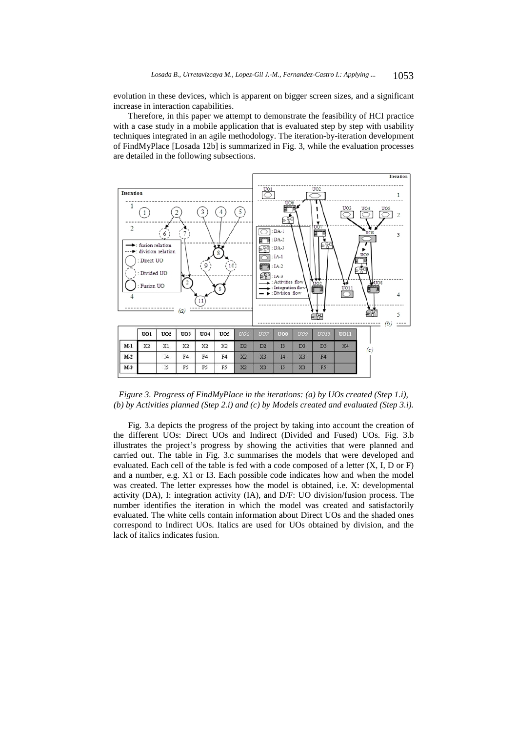evolution in these devices, which is apparent on bigger screen sizes, and a significant increase in interaction capabilities.

Therefore, in this paper we attempt to demonstrate the feasibility of HCI practice with a case study in a mobile application that is evaluated step by step with usability techniques integrated in an agile methodology. The iteration-by-iteration development of FindMyPlace [Losada 12b] is summarized in Fig. 3, while the evaluation processes are detailed in the following subsections.



*Figure 3. Progress of FindMyPlace in the iterations: (a) by UOs created (Step 1.i), (b) by Activities planned (Step 2.i) and (c) by Models created and evaluated (Step 3.i).* 

Fig. 3.a depicts the progress of the project by taking into account the creation of the different UOs: Direct UOs and Indirect (Divided and Fused) UOs. Fig. 3.b illustrates the project's progress by showing the activities that were planned and carried out. The table in Fig. 3.c summarises the models that were developed and evaluated. Each cell of the table is fed with a code composed of a letter (X, I, D or F) and a number, e.g. X1 or I3. Each possible code indicates how and when the model was created. The letter expresses how the model is obtained, i.e. X: developmental activity (DA), I: integration activity (IA), and D/F: UO division/fusion process. The number identifies the iteration in which the model was created and satisfactorily evaluated. The white cells contain information about Direct UOs and the shaded ones correspond to Indirect UOs. Italics are used for UOs obtained by division, and the lack of italics indicates fusion.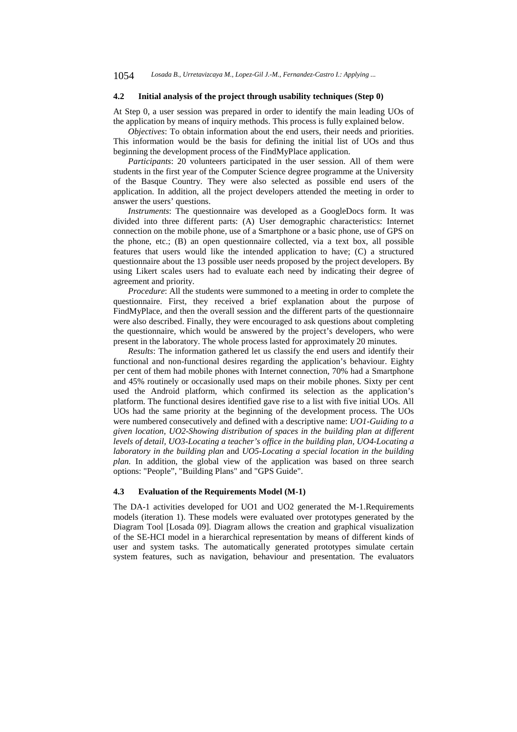#### **4.2 Initial analysis of the project through usability techniques (Step 0)**

At Step 0, a user session was prepared in order to identify the main leading UOs of the application by means of inquiry methods. This process is fully explained below.

*Objectives*: To obtain information about the end users, their needs and priorities. This information would be the basis for defining the initial list of UOs and thus beginning the development process of the FindMyPlace application.

*Participants*: 20 volunteers participated in the user session. All of them were students in the first year of the Computer Science degree programme at the University of the Basque Country. They were also selected as possible end users of the application. In addition, all the project developers attended the meeting in order to answer the users' questions.

*Instruments*: The questionnaire was developed as a GoogleDocs form. It was divided into three different parts: (A) User demographic characteristics: Internet connection on the mobile phone, use of a Smartphone or a basic phone, use of GPS on the phone, etc.; (B) an open questionnaire collected, via a text box, all possible features that users would like the intended application to have; (C) a structured questionnaire about the 13 possible user needs proposed by the project developers. By using Likert scales users had to evaluate each need by indicating their degree of agreement and priority.

*Procedure*: All the students were summoned to a meeting in order to complete the questionnaire. First, they received a brief explanation about the purpose of FindMyPlace, and then the overall session and the different parts of the questionnaire were also described. Finally, they were encouraged to ask questions about completing the questionnaire, which would be answered by the project's developers, who were present in the laboratory. The whole process lasted for approximately 20 minutes.

*Results*: The information gathered let us classify the end users and identify their functional and non-functional desires regarding the application's behaviour. Eighty per cent of them had mobile phones with Internet connection, 70% had a Smartphone and 45% routinely or occasionally used maps on their mobile phones. Sixty per cent used the Android platform, which confirmed its selection as the application's platform. The functional desires identified gave rise to a list with five initial UOs. All UOs had the same priority at the beginning of the development process. The UOs were numbered consecutively and defined with a descriptive name: *UO1-Guiding to a given location, UO2-Showing distribution of spaces in the building plan at different levels of detail, UO3-Locating a teacher's office in the building plan, UO4-Locating a laboratory in the building plan* and *UO5-Locating a special location in the building plan.* In addition, the global view of the application was based on three search options: "People", "Building Plans" and "GPS Guide".

### **4.3 Evaluation of the Requirements Model (M-1)**

The DA-1 activities developed for UO1 and UO2 generated the M-1.Requirements models (iteration 1). These models were evaluated over prototypes generated by the Diagram Tool [Losada 09]. Diagram allows the creation and graphical visualization of the SE-HCI model in a hierarchical representation by means of different kinds of user and system tasks. The automatically generated prototypes simulate certain system features, such as navigation, behaviour and presentation. The evaluators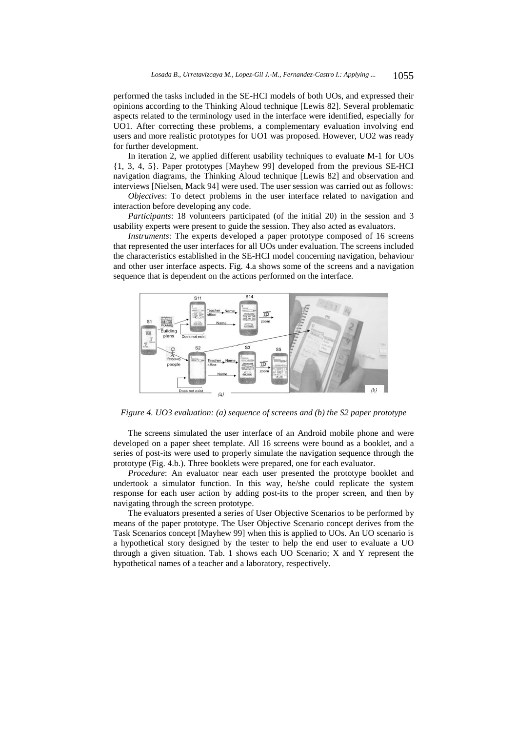performed the tasks included in the SE-HCI models of both UOs, and expressed their opinions according to the Thinking Aloud technique [Lewis 82]. Several problematic aspects related to the terminology used in the interface were identified, especially for UO1. After correcting these problems, a complementary evaluation involving end users and more realistic prototypes for UO1 was proposed. However, UO2 was ready for further development.

In iteration 2, we applied different usability techniques to evaluate M-1 for UOs {1, 3, 4, 5}. Paper prototypes [Mayhew 99] developed from the previous SE-HCI navigation diagrams, the Thinking Aloud technique [Lewis 82] and observation and interviews [Nielsen, Mack 94] were used. The user session was carried out as follows:

*Objectives*: To detect problems in the user interface related to navigation and interaction before developing any code.

*Participants*: 18 volunteers participated (of the initial 20) in the session and 3 usability experts were present to guide the session. They also acted as evaluators.

*Instruments*: The experts developed a paper prototype composed of 16 screens that represented the user interfaces for all UOs under evaluation. The screens included the characteristics established in the SE-HCI model concerning navigation, behaviour and other user interface aspects. Fig. 4.a shows some of the screens and a navigation sequence that is dependent on the actions performed on the interface.



*Figure 4. UO3 evaluation: (a) sequence of screens and (b) the S2 paper prototype* 

The screens simulated the user interface of an Android mobile phone and were developed on a paper sheet template. All 16 screens were bound as a booklet, and a series of post-its were used to properly simulate the navigation sequence through the prototype (Fig. 4.b.). Three booklets were prepared, one for each evaluator.

*Procedure*: An evaluator near each user presented the prototype booklet and undertook a simulator function. In this way, he/she could replicate the system response for each user action by adding post-its to the proper screen, and then by navigating through the screen prototype.

The evaluators presented a series of User Objective Scenarios to be performed by means of the paper prototype. The User Objective Scenario concept derives from the Task Scenarios concept [Mayhew 99] when this is applied to UOs. An UO scenario is a hypothetical story designed by the tester to help the end user to evaluate a UO through a given situation. Tab. 1 shows each UO Scenario; X and Y represent the hypothetical names of a teacher and a laboratory, respectively.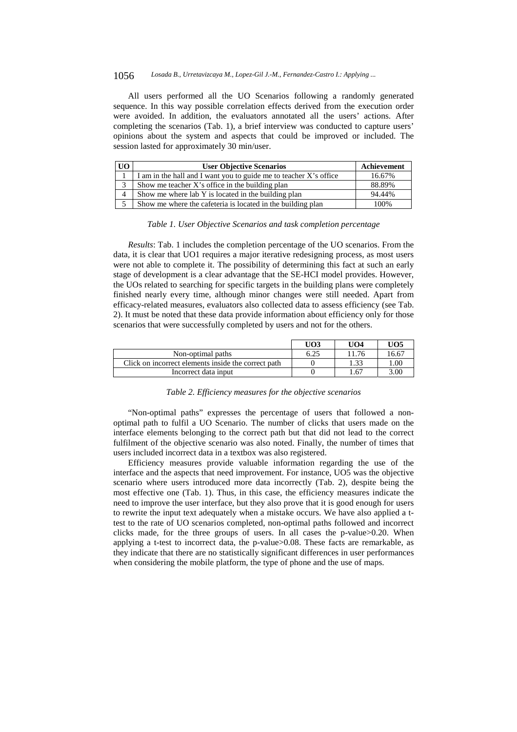#### 1056 *Losada B., Urretavizcaya M., Lopez-Gil J.-M., Fernandez-Castro I.: Applying ...*

All users performed all the UO Scenarios following a randomly generated sequence. In this way possible correlation effects derived from the execution order were avoided. In addition, the evaluators annotated all the users' actions. After completing the scenarios (Tab. 1), a brief interview was conducted to capture users' opinions about the system and aspects that could be improved or included. The session lasted for approximately 30 min/user.

| UO     | <b>User Objective Scenarios</b>                                   | Achievement |
|--------|-------------------------------------------------------------------|-------------|
|        | I am in the hall and I want you to guide me to teacher X's office | 16.67%      |
| $\sim$ | Show me teacher X's office in the building plan                   | 88.89%      |
| 4      | Show me where lab Y is located in the building plan               | 94.44%      |
|        | Show me where the cafeteria is located in the building plan       | 100%        |

#### *Table 1. User Objective Scenarios and task completion percentage*

*Results*: Tab. 1 includes the completion percentage of the UO scenarios. From the data, it is clear that UO1 requires a major iterative redesigning process, as most users were not able to complete it. The possibility of determining this fact at such an early stage of development is a clear advantage that the SE-HCI model provides. However, the UOs related to searching for specific targets in the building plans were completely finished nearly every time, although minor changes were still needed. Apart from efficacy-related measures, evaluators also collected data to assess efficiency (see Tab. 2). It must be noted that these data provide information about efficiency only for those scenarios that were successfully completed by users and not for the others.

|                                                     | U <sub>O3</sub> | UO4   | UO5       |
|-----------------------------------------------------|-----------------|-------|-----------|
| Non-optimal paths                                   | 6.25            | 11.76 | 16.67     |
| Click on incorrect elements inside the correct path |                 | 1.33  | $00^{+1}$ |
| Incorrect data input                                |                 | 1.67  | 3.00      |

#### *Table 2. Efficiency measures for the objective scenarios*

"Non-optimal paths" expresses the percentage of users that followed a nonoptimal path to fulfil a UO Scenario. The number of clicks that users made on the interface elements belonging to the correct path but that did not lead to the correct fulfilment of the objective scenario was also noted. Finally, the number of times that users included incorrect data in a textbox was also registered.

Efficiency measures provide valuable information regarding the use of the interface and the aspects that need improvement. For instance, UO5 was the objective scenario where users introduced more data incorrectly (Tab. 2), despite being the most effective one (Tab. 1). Thus, in this case, the efficiency measures indicate the need to improve the user interface, but they also prove that it is good enough for users to rewrite the input text adequately when a mistake occurs. We have also applied a ttest to the rate of UO scenarios completed, non-optimal paths followed and incorrect clicks made, for the three groups of users. In all cases the p-value>0.20. When applying a t-test to incorrect data, the p-value>0.08. These facts are remarkable, as they indicate that there are no statistically significant differences in user performances when considering the mobile platform, the type of phone and the use of maps.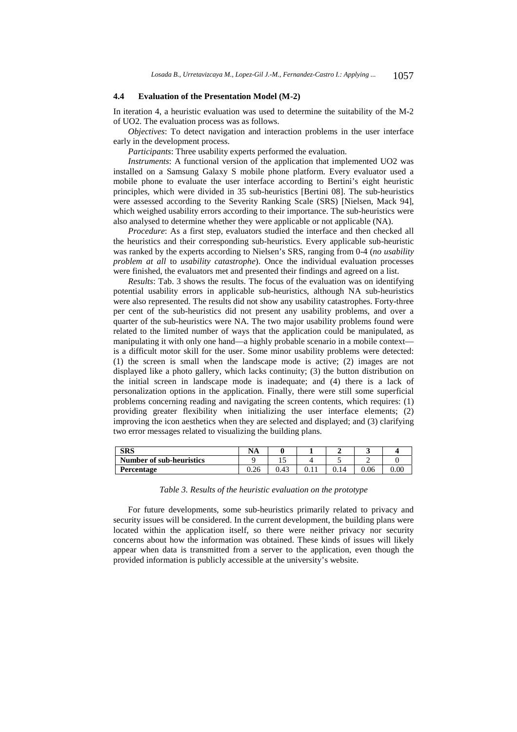#### **4.4 Evaluation of the Presentation Model (M-2)**

In iteration 4, a heuristic evaluation was used to determine the suitability of the M-2 of UO2. The evaluation process was as follows.

*Objectives*: To detect navigation and interaction problems in the user interface early in the development process.

*Participants*: Three usability experts performed the evaluation.

*Instruments*: A functional version of the application that implemented UO2 was installed on a Samsung Galaxy S mobile phone platform. Every evaluator used a mobile phone to evaluate the user interface according to Bertini's eight heuristic principles, which were divided in 35 sub-heuristics [Bertini 08]. The sub-heuristics were assessed according to the Severity Ranking Scale (SRS) [Nielsen, Mack 94], which weighed usability errors according to their importance. The sub-heuristics were also analysed to determine whether they were applicable or not applicable (NA).

*Procedure*: As a first step, evaluators studied the interface and then checked all the heuristics and their corresponding sub-heuristics. Every applicable sub-heuristic was ranked by the experts according to Nielsen's SRS, ranging from 0-4 (*no usability problem at all* to *usability catastrophe*). Once the individual evaluation processes were finished, the evaluators met and presented their findings and agreed on a list.

*Results*: Tab. 3 shows the results. The focus of the evaluation was on identifying potential usability errors in applicable sub-heuristics, although NA sub-heuristics were also represented. The results did not show any usability catastrophes. Forty-three per cent of the sub-heuristics did not present any usability problems, and over a quarter of the sub-heuristics were NA. The two major usability problems found were related to the limited number of ways that the application could be manipulated, as manipulating it with only one hand—a highly probable scenario in a mobile context is a difficult motor skill for the user. Some minor usability problems were detected: (1) the screen is small when the landscape mode is active; (2) images are not displayed like a photo gallery, which lacks continuity; (3) the button distribution on the initial screen in landscape mode is inadequate; and (4) there is a lack of personalization options in the application. Finally, there were still some superficial problems concerning reading and navigating the screen contents, which requires: (1) providing greater flexibility when initializing the user interface elements; (2) improving the icon aesthetics when they are selected and displayed; and (3) clarifying two error messages related to visualizing the building plans.

| <b>SRS</b>               | NA   |      |    | ັ    |          |
|--------------------------|------|------|----|------|----------|
| Number of sub-heuristics |      |      |    |      |          |
| Percentage               | 0.26 | 0.43 | 14 | 0.06 | $0.00\,$ |

*Table 3. Results of the heuristic evaluation on the prototype* 

For future developments, some sub-heuristics primarily related to privacy and security issues will be considered. In the current development, the building plans were located within the application itself, so there were neither privacy nor security concerns about how the information was obtained. These kinds of issues will likely appear when data is transmitted from a server to the application, even though the provided information is publicly accessible at the university's website.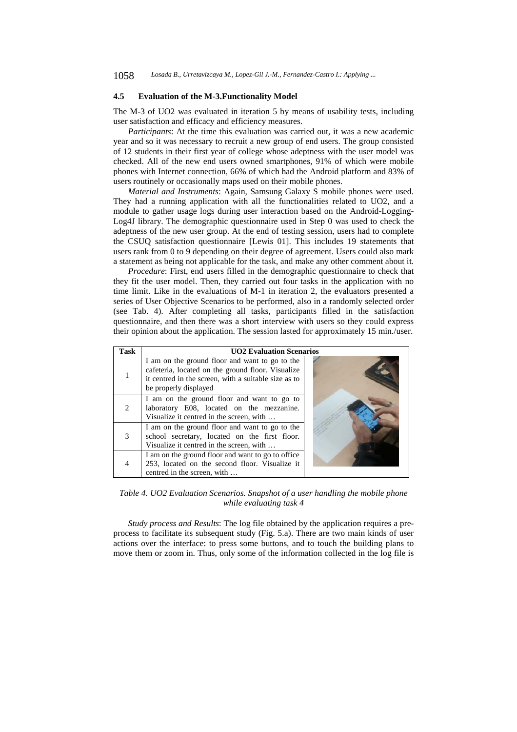#### **4.5 Evaluation of the M-3.Functionality Model**

The M-3 of UO2 was evaluated in iteration 5 by means of usability tests, including user satisfaction and efficacy and efficiency measures.

*Participants*: At the time this evaluation was carried out, it was a new academic year and so it was necessary to recruit a new group of end users. The group consisted of 12 students in their first year of college whose adeptness with the user model was checked. All of the new end users owned smartphones, 91% of which were mobile phones with Internet connection, 66% of which had the Android platform and 83% of users routinely or occasionally maps used on their mobile phones.

*Material and Instruments*: Again, Samsung Galaxy S mobile phones were used. They had a running application with all the functionalities related to UO2, and a module to gather usage logs during user interaction based on the Android-Logging-Log4J library. The demographic questionnaire used in Step 0 was used to check the adeptness of the new user group. At the end of testing session, users had to complete the CSUQ satisfaction questionnaire [Lewis 01]. This includes 19 statements that users rank from 0 to 9 depending on their degree of agreement. Users could also mark a statement as being not applicable for the task, and make any other comment about it.

*Procedure*: First, end users filled in the demographic questionnaire to check that they fit the user model. Then, they carried out four tasks in the application with no time limit. Like in the evaluations of M-1 in iteration 2, the evaluators presented a series of User Objective Scenarios to be performed, also in a randomly selected order (see Tab. 4). After completing all tasks, participants filled in the satisfaction questionnaire, and then there was a short interview with users so they could express their opinion about the application. The session lasted for approximately 15 min./user.

| Task           | <b>UO2 Evaluation Scenarios</b>                                                                                                                                                      |  |  |  |  |
|----------------|--------------------------------------------------------------------------------------------------------------------------------------------------------------------------------------|--|--|--|--|
|                | I am on the ground floor and want to go to the<br>cafeteria, located on the ground floor. Visualize<br>it centred in the screen, with a suitable size as to<br>be properly displayed |  |  |  |  |
| $\mathfrak{D}$ | I am on the ground floor and want to go to<br>laboratory E08, located on the mezzanine.<br>Visualize it centred in the screen, with                                                  |  |  |  |  |
| 3              | I am on the ground floor and want to go to the<br>school secretary, located on the first floor.<br>Visualize it centred in the screen, with                                          |  |  |  |  |
|                | I am on the ground floor and want to go to office<br>253, located on the second floor. Visualize it<br>centred in the screen, with                                                   |  |  |  |  |

*Table 4. UO2 Evaluation Scenarios. Snapshot of a user handling the mobile phone while evaluating task 4* 

*Study process and Results*: The log file obtained by the application requires a preprocess to facilitate its subsequent study (Fig. 5.a). There are two main kinds of user actions over the interface: to press some buttons, and to touch the building plans to move them or zoom in. Thus, only some of the information collected in the log file is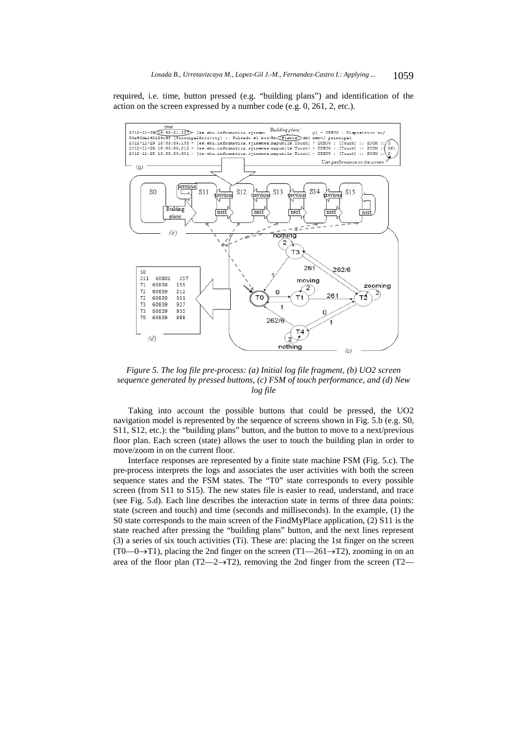required, i.e. time, button pressed (e.g. "building plans") and identification of the action on the screen expressed by a number code (e.g. 0, 261, 2, etc.).



*Figure 5. The log file pre-process: (a) Initial log file fragment, (b) UO2 screen sequence generated by pressed buttons, (c) FSM of touch performance, and (d) New log file* 

Taking into account the possible buttons that could be pressed, the UO2 navigation model is represented by the sequence of screens shown in Fig. 5.b (e.g. S0, S11, S12, etc.): the "building plans" button, and the button to move to a next/previous floor plan. Each screen (state) allows the user to touch the building plan in order to move/zoom in on the current floor.

Interface responses are represented by a finite state machine FSM (Fig. 5.c). The pre-process interprets the logs and associates the user activities with both the screen sequence states and the FSM states. The "T0" state corresponds to every possible screen (from S11 to S15). The new states file is easier to read, understand, and trace (see Fig. 5.d). Each line describes the interaction state in terms of three data points: state (screen and touch) and time (seconds and milliseconds). In the example, (1) the S0 state corresponds to the main screen of the FindMyPlace application, (2) S11 is the state reached after pressing the "building plans" button, and the next lines represent (3) a series of six touch activities (Ti). These are: placing the 1st finger on the screen  $(T0-0\rightarrow T1)$ , placing the 2nd finger on the screen  $(T1-261\rightarrow T2)$ , zooming in on an area of the floor plan (T2—2 $\rightarrow$ T2), removing the 2nd finger from the screen (T2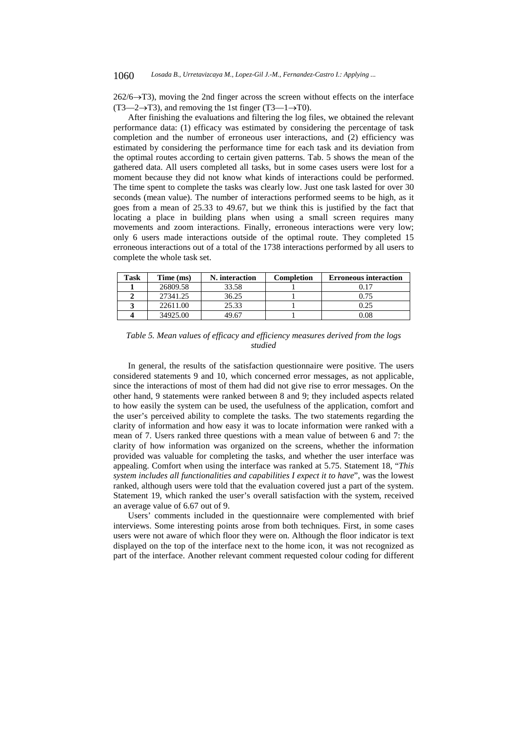$262/6 \rightarrow T3$ ), moving the 2nd finger across the screen without effects on the interface  $(T3 \rightarrow 2 \rightarrow T3)$ , and removing the 1st finger  $(T3 \rightarrow T0)$ .

After finishing the evaluations and filtering the log files, we obtained the relevant performance data: (1) efficacy was estimated by considering the percentage of task completion and the number of erroneous user interactions, and (2) efficiency was estimated by considering the performance time for each task and its deviation from the optimal routes according to certain given patterns. Tab. 5 shows the mean of the gathered data. All users completed all tasks, but in some cases users were lost for a moment because they did not know what kinds of interactions could be performed. The time spent to complete the tasks was clearly low. Just one task lasted for over 30 seconds (mean value). The number of interactions performed seems to be high, as it goes from a mean of 25.33 to 49.67, but we think this is justified by the fact that locating a place in building plans when using a small screen requires many movements and zoom interactions. Finally, erroneous interactions were very low; only 6 users made interactions outside of the optimal route. They completed 15 erroneous interactions out of a total of the 1738 interactions performed by all users to complete the whole task set.

| Task | Time (ms) | N. interaction | Completion | <b>Erroneous interaction</b> |
|------|-----------|----------------|------------|------------------------------|
|      | 26809.58  | 33.58          |            | 0.17                         |
|      | 27341.25  | 36.25          |            | 0.75                         |
|      | 22611.00  | 25.33          |            | 0.25                         |
|      | 34925.00  | 49.67          |            | 0.08                         |

*Table 5. Mean values of efficacy and efficiency measures derived from the logs studied* 

In general, the results of the satisfaction questionnaire were positive. The users considered statements 9 and 10, which concerned error messages, as not applicable, since the interactions of most of them had did not give rise to error messages. On the other hand, 9 statements were ranked between 8 and 9; they included aspects related to how easily the system can be used, the usefulness of the application, comfort and the user's perceived ability to complete the tasks. The two statements regarding the clarity of information and how easy it was to locate information were ranked with a mean of 7. Users ranked three questions with a mean value of between 6 and 7: the clarity of how information was organized on the screens, whether the information provided was valuable for completing the tasks, and whether the user interface was appealing. Comfort when using the interface was ranked at 5.75. Statement 18, "*This system includes all functionalities and capabilities I expect it to have*", was the lowest ranked, although users were told that the evaluation covered just a part of the system. Statement 19, which ranked the user's overall satisfaction with the system, received an average value of 6.67 out of 9.

Users' comments included in the questionnaire were complemented with brief interviews. Some interesting points arose from both techniques. First, in some cases users were not aware of which floor they were on. Although the floor indicator is text displayed on the top of the interface next to the home icon, it was not recognized as part of the interface. Another relevant comment requested colour coding for different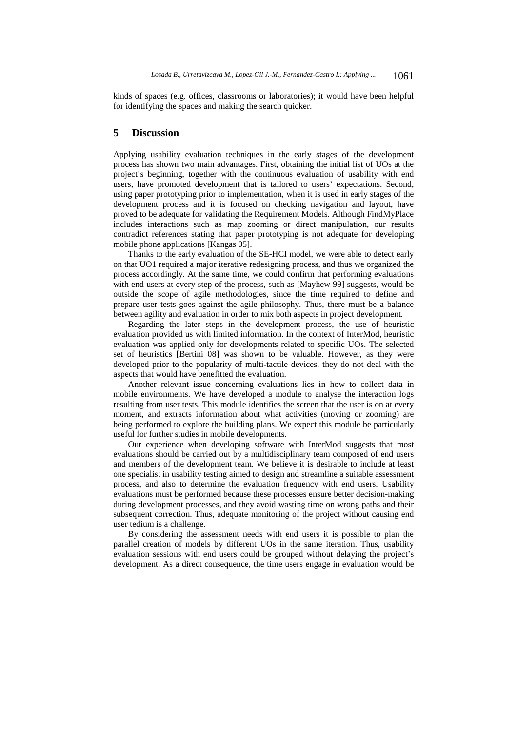kinds of spaces (e.g. offices, classrooms or laboratories); it would have been helpful for identifying the spaces and making the search quicker.

# **5 Discussion**

Applying usability evaluation techniques in the early stages of the development process has shown two main advantages. First, obtaining the initial list of UOs at the project's beginning, together with the continuous evaluation of usability with end users, have promoted development that is tailored to users' expectations. Second, using paper prototyping prior to implementation, when it is used in early stages of the development process and it is focused on checking navigation and layout, have proved to be adequate for validating the Requirement Models. Although FindMyPlace includes interactions such as map zooming or direct manipulation, our results contradict references stating that paper prototyping is not adequate for developing mobile phone applications [Kangas 05].

Thanks to the early evaluation of the SE-HCI model, we were able to detect early on that UO1 required a major iterative redesigning process, and thus we organized the process accordingly. At the same time, we could confirm that performing evaluations with end users at every step of the process, such as [Mayhew 99] suggests, would be outside the scope of agile methodologies, since the time required to define and prepare user tests goes against the agile philosophy. Thus, there must be a balance between agility and evaluation in order to mix both aspects in project development.

Regarding the later steps in the development process, the use of heuristic evaluation provided us with limited information. In the context of InterMod, heuristic evaluation was applied only for developments related to specific UOs. The selected set of heuristics [Bertini 08] was shown to be valuable. However, as they were developed prior to the popularity of multi-tactile devices, they do not deal with the aspects that would have benefitted the evaluation.

Another relevant issue concerning evaluations lies in how to collect data in mobile environments. We have developed a module to analyse the interaction logs resulting from user tests. This module identifies the screen that the user is on at every moment, and extracts information about what activities (moving or zooming) are being performed to explore the building plans. We expect this module be particularly useful for further studies in mobile developments.

Our experience when developing software with InterMod suggests that most evaluations should be carried out by a multidisciplinary team composed of end users and members of the development team. We believe it is desirable to include at least one specialist in usability testing aimed to design and streamline a suitable assessment process, and also to determine the evaluation frequency with end users. Usability evaluations must be performed because these processes ensure better decision-making during development processes, and they avoid wasting time on wrong paths and their subsequent correction. Thus, adequate monitoring of the project without causing end user tedium is a challenge.

By considering the assessment needs with end users it is possible to plan the parallel creation of models by different UOs in the same iteration. Thus, usability evaluation sessions with end users could be grouped without delaying the project's development. As a direct consequence, the time users engage in evaluation would be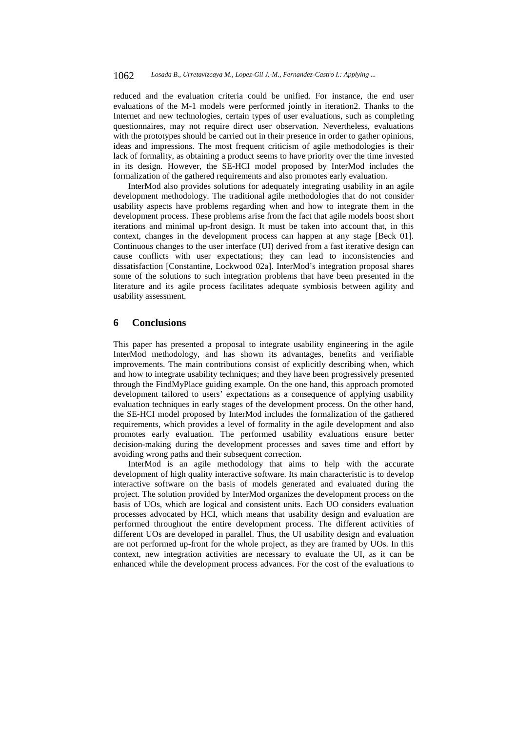reduced and the evaluation criteria could be unified. For instance, the end user evaluations of the M-1 models were performed jointly in iteration2. Thanks to the Internet and new technologies, certain types of user evaluations, such as completing questionnaires, may not require direct user observation. Nevertheless, evaluations with the prototypes should be carried out in their presence in order to gather opinions, ideas and impressions. The most frequent criticism of agile methodologies is their lack of formality, as obtaining a product seems to have priority over the time invested in its design. However, the SE-HCI model proposed by InterMod includes the formalization of the gathered requirements and also promotes early evaluation.

InterMod also provides solutions for adequately integrating usability in an agile development methodology. The traditional agile methodologies that do not consider usability aspects have problems regarding when and how to integrate them in the development process. These problems arise from the fact that agile models boost short iterations and minimal up-front design. It must be taken into account that, in this context, changes in the development process can happen at any stage [Beck 01]. Continuous changes to the user interface (UI) derived from a fast iterative design can cause conflicts with user expectations; they can lead to inconsistencies and dissatisfaction [Constantine, Lockwood 02a]. InterMod's integration proposal shares some of the solutions to such integration problems that have been presented in the literature and its agile process facilitates adequate symbiosis between agility and usability assessment.

# **6 Conclusions**

This paper has presented a proposal to integrate usability engineering in the agile InterMod methodology, and has shown its advantages, benefits and verifiable improvements. The main contributions consist of explicitly describing when, which and how to integrate usability techniques; and they have been progressively presented through the FindMyPlace guiding example. On the one hand, this approach promoted development tailored to users' expectations as a consequence of applying usability evaluation techniques in early stages of the development process. On the other hand, the SE-HCI model proposed by InterMod includes the formalization of the gathered requirements, which provides a level of formality in the agile development and also promotes early evaluation. The performed usability evaluations ensure better decision-making during the development processes and saves time and effort by avoiding wrong paths and their subsequent correction.

InterMod is an agile methodology that aims to help with the accurate development of high quality interactive software. Its main characteristic is to develop interactive software on the basis of models generated and evaluated during the project. The solution provided by InterMod organizes the development process on the basis of UOs, which are logical and consistent units. Each UO considers evaluation processes advocated by HCI, which means that usability design and evaluation are performed throughout the entire development process. The different activities of different UOs are developed in parallel. Thus, the UI usability design and evaluation are not performed up-front for the whole project, as they are framed by UOs. In this context, new integration activities are necessary to evaluate the UI, as it can be enhanced while the development process advances. For the cost of the evaluations to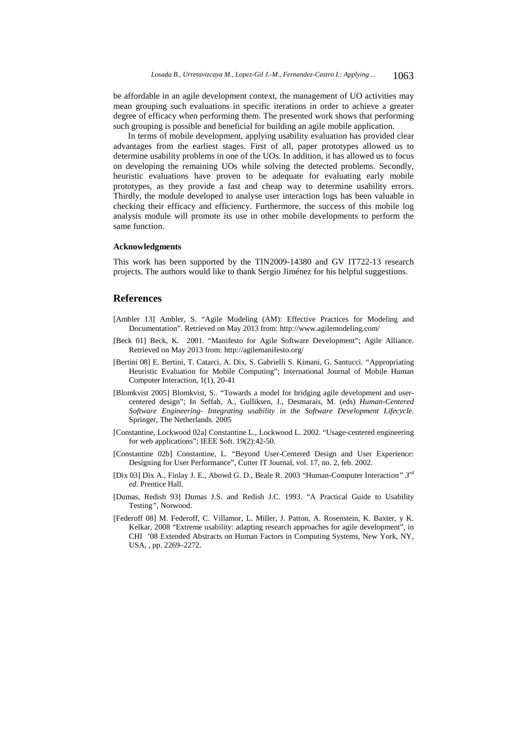be affordable in an agile development context, the management of UO activities may mean grouping such evaluations in specific iterations in order to achieve a greater degree of efficacy when performing them. The presented work shows that performing such grouping is possible and beneficial for building an agile mobile application.

In terms of mobile development, applying usability evaluation has provided clear advantages from the earliest stages. First of all, paper prototypes allowed us to determine usability problems in one of the UOs. In addition, it has allowed us to focus on developing the remaining UOs while solving the detected problems. Secondly, heuristic evaluations have proven to be adequate for evaluating early mobile prototypes, as they provide a fast and cheap way to determine usability errors. Thirdly, the module developed to analyse user interaction logs has been valuable in checking their efficacy and efficiency. Furthermore, the success of this mobile log analysis module will promote its use in other mobile developments to perform the same function.

#### **Acknowledgments**

This work has been supported by the TIN2009-14380 and GV IT722-13 research projects. The authors would like to thank Sergio Jiménez for his helpful suggestions.

## **References**

- [Ambler 13] Ambler, S. "Agile Modeling (AM): Effective Practices for Modeling and Documentation". Retrieved on May 2013 from: http://www.agilemodeling.com/
- [Beck 01] Beck, K. 2001. "Manifesto for Agile Software Development"; Agile Alliance. Retrieved on May 2013 from: http://agilemanifesto.org/
- [Bertini 08] E. Bertini, T. Catarci, A. Dix, S. Gabrielli S. Kimani, G. Santucci. *"*Appropriating Heuristic Evaluation for Mobile Computing"; International Journal of Mobile Human Computer Interaction, 1(1), 20-41
- [Blomkvist 2005] Blomkvist, S.. "Towards a model for bridging agile development and usercentered design"; In Seffah, A., Gulliksen, J., Desmarais, M. (eds) *Human-Centered Software Engineering- Integrating usability in the Software Development Lifecycle*. Springer, The Netherlands. 2005
- [Constantine, Lockwood 02a] Constantine L., Lockwood L. 2002. "Usage-centered engineering for web applications"; IEEE Soft. 19(2):42-50.
- [Constantine 02b] Constantine, L. "Beyond User-Centered Design and User Experience: Designing for User Performance", Cutter IT Journal, vol. 17, no. 2, feb. 2002.
- [Dix 03] Dix A., Finlay J. E., Abowd G. D., Beale R. 2003 "Human-Computer Interaction*" 3rd ed*. Prentice Hall.
- [Dumas, Redish 93] Dumas J.S. and Redish J.C. 1993. "A Practical Guide to Usability Testing*"*, Norwood.
- [Federoff 08] M. Federoff, C. Villamor, L. Miller, J. Patton, A. Rosenstein, K. Baxter, y K. Kelkar, 2008 "Extreme usability: adapting research approaches for agile development", in CHI '08 Extended Abstracts on Human Factors in Computing Systems, New York, NY, USA, , pp. 2269–2272.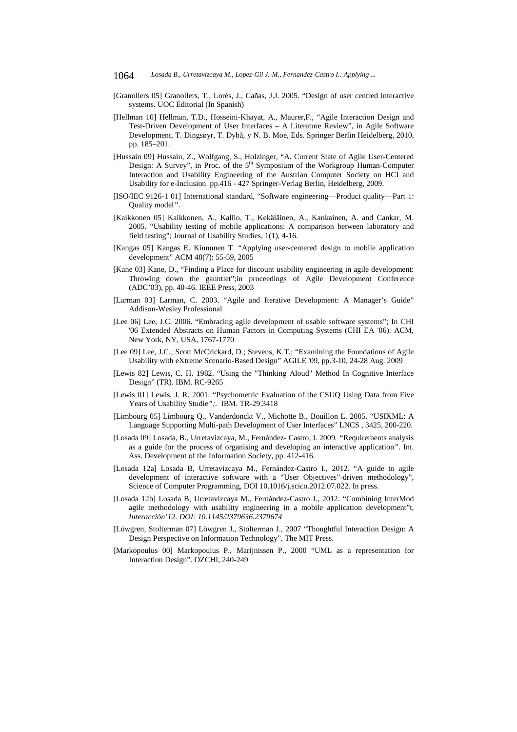- [Granollers 05] Granollers, T., Lorés, J., Cañas, J.J. 2005. "Design of user centred interactive systems. UOC Editorial (In Spanish)
- [Hellman 10] Hellman, T.D., Hosseini-Khayat, A., Maurer,F., "Agile Interaction Design and Test-Driven Development of User Interfaces – A Literature Review", in Agile Software Development, T. Dingsøyr, T. Dybå, y N. B. Moe, Eds. Springer Berlin Heidelberg, 2010, pp. 185–201.
- [Hussain 09] Hussain, Z., Wolfgang, S., Holzinger, "A. Current State of Agile User-Centered Design: A Survey", in Proc. of the 5<sup>th</sup> Symposium of the Workgroup Human-Computer Interaction and Usability Engineering of the Austrian Computer Society on HCI and Usability for e-Inclusion pp.416 - 427 Springer-Verlag Berlin, Heidelberg, 2009.
- [ISO/IEC 9126-1 01] International standard, "Software engineering—Product quality—Part 1: Quality model*"*.
- [Kaikkonen 05] Kaikkonen, A., Kallio, T., Kekäläinen, A., Kankainen, A. and Cankar, M. 2005. "Usability testing of mobile applications: A comparison between laboratory and field testing"; Journal of Usability Studies, 1(1), 4-16.
- [Kangas 05] Kangas E. Kinnunen T. "Applying user-centered design to mobile application development" ACM 48(7): 55-59, 2005
- [Kane 03] Kane, D., "Finding a Place for discount usability engineering in agile development: Throwing down the gauntlet";in proceedings of Agile Development Conference (ADC'03), pp. 40-46. IEEE Press, 2003
- [Larman 03] Larman, C. 2003. "Agile and Iterative Development: A Manager's Guide" Addison-Wesley Professional
- [Lee 06] Lee, J.C. 2006. "Embracing agile development of usable software systems"; In CHI '06 Extended Abstracts on Human Factors in Computing Systems (CHI EA '06). ACM, New York, NY, USA, 1767-1770
- [Lee 09] Lee, J.C.; Scott McCrickard, D.; Stevens, K.T.; "Examining the Foundations of Agile Usability with eXtreme Scenario-Based Design" AGILE '09, pp.3-10, 24-28 Aug. 2009
- [Lewis 82] Lewis, C. H. 1982. "Using the "Thinking Aloud" Method In Cognitive Interface Design" (TR). IBM. RC-9265
- [Lewis 01] Lewis, J. R. 2001. "Psychometric Evaluation of the CSUQ Using Data from Five Years of Usability Studie*";.* IBM. TR-29.3418
- [Limbourg 05] Limbourg Q., Vanderdonckt V., Michotte B., Bouillon L. 2005. "USIXML: A Language Supporting Multi-path Development of User Interfaces" LNCS , 3425, 200-220.
- [Losada 09] Losada, B., Urretavizcaya, M., Fernández- Castro, I. 2009*. "*Requirements analysis as a guide for the process of organising and developing an interactive application*"*. Int. Ass. Development of the Information Society, pp. 412-416.
- [Losada 12a] Losada B, Urretavizcaya M., Fernández-Castro I., 2012. "A guide to agile development of interactive software with a "User Objectives"-driven methodology", Science of Computer Programming, DOI 10.1016/j.scico.2012.07.022. In press.
- [Losada 12b] Losada B, Urretavizcaya M., Fernández-Castro I., 2012. "Combining InterMod agile methodology with usability engineering in a mobile application development"t*, Interacción'12. DOI: 10.1145/2379636.2379674*
- [Löwgren, Stolterman 07] Löwgren J., Stolterman J., 2007 "Thoughtful Interaction Design: A Design Perspective on Information Technology". The MIT Press.
- [Markopoulus 00] Markopoulus P., Marijnissen P., 2000 "UML as a representation for Interaction Design". OZCHI, 240-249